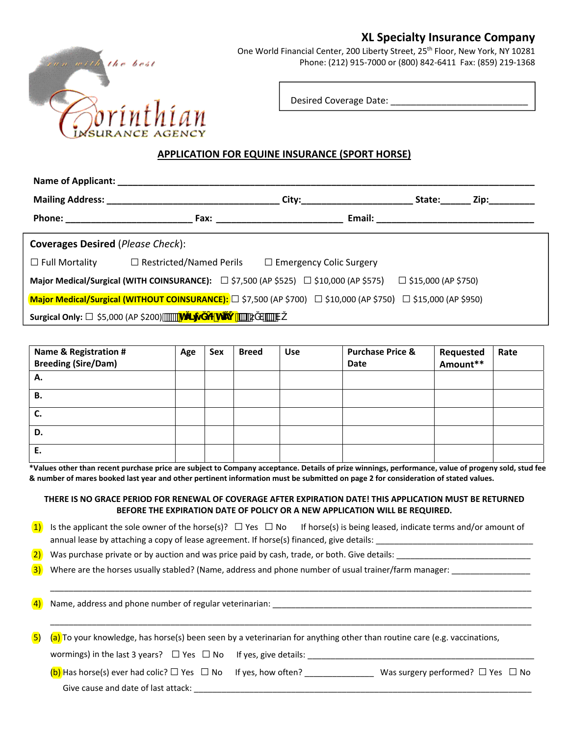## **XL Specialty Insurance Company**



One World Financial Center, 200 Liberty Street, 25<sup>th</sup> Floor, New York, NY 10281 Phone: (212) 915‐7000 or (800) 842‐6411 Fax: (859) 219‐1368

Desired Coverage Date: \_\_\_\_\_\_\_\_\_\_\_\_\_\_\_\_\_\_\_\_\_\_\_\_\_\_\_

## **APPLICATION FOR EQUINE INSURANCE (SPORT HORSE)**

|                                                           | Name of Applicant: Name of Applicant:                                                                                               |       |        |          |  |  |  |
|-----------------------------------------------------------|-------------------------------------------------------------------------------------------------------------------------------------|-------|--------|----------|--|--|--|
|                                                           | Mailing Address: Mailing Address:                                                                                                   | City: | State: | Zip:____ |  |  |  |
|                                                           |                                                                                                                                     |       |        |          |  |  |  |
| <b>Coverages Desired (Please Check):</b>                  |                                                                                                                                     |       |        |          |  |  |  |
| $\Box$ Full Mortality                                     | $\Box$ Restricted/Named Perils $\Box$ Emergency Colic Surgery                                                                       |       |        |          |  |  |  |
|                                                           | Major Medical/Surgical (WITH COINSURANCE): $\square$ \$7,500 (AP \$525) $\square$ \$10,000 (AP \$575) $\square$ \$15,000 (AP \$750) |       |        |          |  |  |  |
|                                                           | Major Medical/Surgical (WITHOUT COINSURANCE): □ \$7,500 (AP \$700) □ \$10,000 (AP \$750) □ \$15,000 (AP \$950)                      |       |        |          |  |  |  |
| <b>Surgical Only:</b> $\Box$ \$5,000 (AP \$200) $\Box$ Th | $\blacksquare$ h                                                                                                                    | ΈV    |        |          |  |  |  |

| Name & Registration #<br><b>Breeding (Sire/Dam)</b> | Age | Sex | <b>Breed</b> | <b>Use</b> | <b>Purchase Price &amp;</b><br><b>Date</b> | Requested<br>Amount** | Rate |
|-----------------------------------------------------|-----|-----|--------------|------------|--------------------------------------------|-----------------------|------|
| Α.                                                  |     |     |              |            |                                            |                       |      |
| В.                                                  |     |     |              |            |                                            |                       |      |
| J.                                                  |     |     |              |            |                                            |                       |      |
| D.                                                  |     |     |              |            |                                            |                       |      |
| Е.                                                  |     |     |              |            |                                            |                       |      |

\*Values other than recent purchase price are subject to Company acceptance. Details of prize winnings, performance, value of progeny sold, stud fee & number of mares booked last year and other pertinent information must be submitted on page 2 for consideration of stated values.

## **THERE IS NO GRACE PERIOD FOR RENEWAL OF COVERAGE AFTER EXPIRATION DATE! THIS APPLICATION MUST BE RETURNED BEFORE THE EXPIRATION DATE OF POLICY OR A NEW APPLICATION WILL BE REQUIRED.**

\_\_\_\_\_\_\_\_\_\_\_\_\_\_\_\_\_\_\_\_\_\_\_\_\_\_\_\_\_\_\_\_\_\_\_\_\_\_\_\_\_\_\_\_\_\_\_\_\_\_\_\_\_\_\_\_\_\_\_\_\_\_\_\_\_\_\_\_\_\_\_\_\_\_\_\_\_\_\_\_\_\_\_\_\_\_\_\_\_\_\_\_\_\_\_\_\_\_\_\_\_\_\_\_

\_\_\_\_\_\_\_\_\_\_\_\_\_\_\_\_\_\_\_\_\_\_\_\_\_\_\_\_\_\_\_\_\_\_\_\_\_\_\_\_\_\_\_\_\_\_\_\_\_\_\_\_\_\_\_\_\_\_\_\_\_\_\_\_\_\_\_\_\_\_\_\_\_\_\_\_\_\_\_\_\_\_\_\_\_\_\_\_\_\_\_\_\_\_\_\_\_\_\_\_\_\_\_\_

1) Is the applicant the sole owner of the horse(s)?  $\Box$  Yes  $\Box$  No If horse(s) is being leased, indicate terms and/or amount of annual lease by attaching a copy of lease agreement. If horse(s) financed, give details: \_

 $\overline{2)}$  Was purchase private or by auction and was price paid by cash, trade, or both. Give details:

3) Where are the horses usually stabled? (Name, address and phone number of usual trainer/farm manager: \_\_\_\_\_\_\_\_\_\_\_\_

4) Name, address and phone number of regular veterinarian:

 $\overline{5}$  (a) To your knowledge, has horse(s) been seen by a veterinarian for anything other than routine care (e.g. vaccinations,

wormings) in the last 3 years?  $\Box$  Yes  $\Box$  No If yes, give details:

(b) Has horse(s) ever had colic?  $\Box$  Yes  $\Box$  No If yes, how often? Was surgery performed?  $\Box$  Yes  $\Box$  No

Give cause and date of last attack: \_\_\_\_\_\_\_\_\_\_\_\_\_\_\_\_\_\_\_\_\_\_\_\_\_\_\_\_\_\_\_\_\_\_\_\_\_\_\_\_\_\_\_\_\_\_\_\_\_\_\_\_\_\_\_\_\_\_\_\_\_\_\_\_\_\_\_\_\_\_\_\_\_